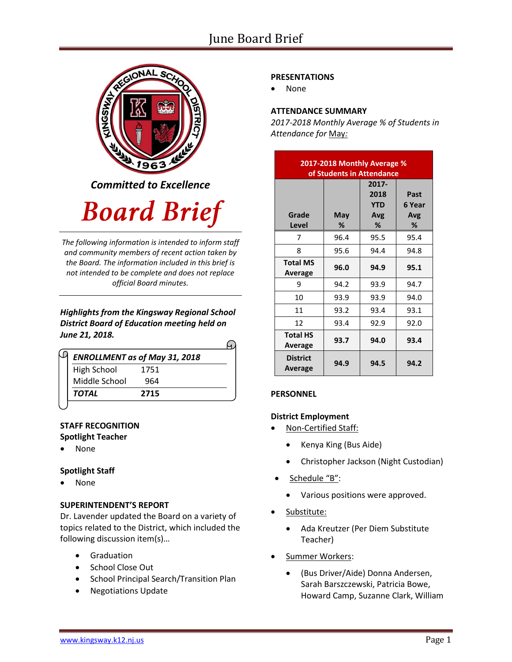

*Committed to Excellence*

# **Board Brief**

*The following information is intended to inform staff and community members of recent action taken by the Board. The information included in this brief is not intended to be complete and does not replace official Board minutes.*

# *Highlights from the Kingsway Regional School District Board of Education meeting held on June 21, 2018.*

| <b>ENROLLMENT as of May 31, 2018</b> |      |  |
|--------------------------------------|------|--|
| <b>High School</b>                   | 1751 |  |
| Middle School                        | 964  |  |
| TOTAL                                | 2715 |  |

# **STAFF RECOGNITION Spotlight Teacher**

None

# **Spotlight Staff**

• None

# **SUPERINTENDENT'S REPORT**

Dr. Lavender updated the Board on a variety of topics related to the District, which included the following discussion item(s)…

- **•** Graduation
- School Close Out
- School Principal Search/Transition Plan
- Negotiations Update

# **PRESENTATIONS**

None

# **ATTENDANCE SUMMARY**

*2017-2018 Monthly Average % of Students in Attendance for* May*:*

| 2017-2018 Monthly Average %<br>of Students in Attendance |          |                                            |                            |  |  |
|----------------------------------------------------------|----------|--------------------------------------------|----------------------------|--|--|
| Grade<br>Level                                           | May<br>% | $2017 -$<br>2018<br><b>YTD</b><br>Avg<br>% | Past<br>6 Year<br>Avg<br>% |  |  |
| 7                                                        | 96.4     | 95.5                                       | 95.4                       |  |  |
| 8                                                        | 95.6     | 94.4                                       | 94.8                       |  |  |
| <b>Total MS</b><br>Average                               | 96.0     | 94.9                                       | 95.1                       |  |  |
| 9                                                        | 94.2     | 93.9                                       | 94.7                       |  |  |
| 10                                                       | 93.9     | 93.9                                       | 94.0                       |  |  |
| 11                                                       | 93.2     | 93.4                                       | 93.1                       |  |  |
| 12                                                       | 93.4     | 92.9                                       | 92.0                       |  |  |
| <b>Total HS</b><br>Average                               | 93.7     | 94.0                                       | 93.4                       |  |  |
| <b>District</b><br>Average                               | 94.9     | 94.5                                       | 94.2                       |  |  |

### **PERSONNEL**

# **District Employment**

- Non-Certified Staff:
	- Kenya King (Bus Aide)
	- Christopher Jackson (Night Custodian)
- Schedule "B":
	- Various positions were approved.
- Substitute:
	- Ada Kreutzer (Per Diem Substitute Teacher)
- Summer Workers:
	- (Bus Driver/Aide) Donna Andersen, Sarah Barszczewski, Patricia Bowe, Howard Camp, Suzanne Clark, William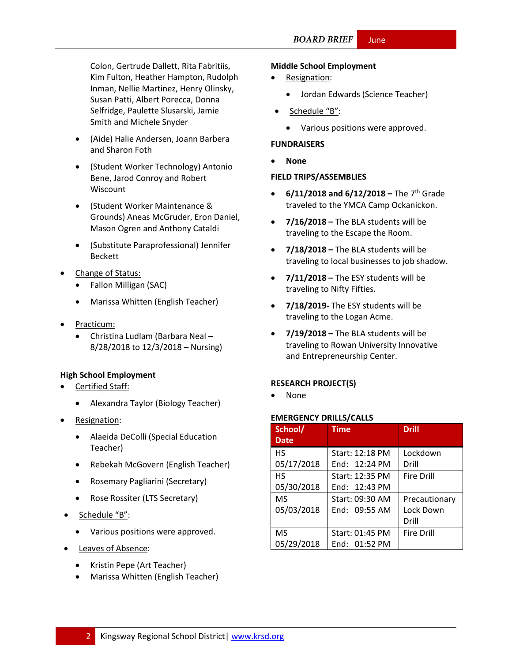Colon, Gertrude Dallett, Rita Fabritiis, Kim Fulton, Heather Hampton, Rudolph Inman, Nellie Martinez, Henry Olinsky, Susan Patti, Albert Porecca, Donna Selfridge, Paulette Slusarski, Jamie Smith and Michele Snyder

- (Aide) Halie Andersen, Joann Barbera and Sharon Foth
- (Student Worker Technology) Antonio Bene, Jarod Conroy and Robert Wiscount
- (Student Worker Maintenance & Grounds) Aneas McGruder, Eron Daniel, Mason Ogren and Anthony Cataldi
- (Substitute Paraprofessional) Jennifer Beckett
- Change of Status:
	- Fallon Milligan (SAC)
	- Marissa Whitten (English Teacher)
- Practicum:
	- Christina Ludlam (Barbara Neal 8/28/2018 to 12/3/2018 – Nursing)

### **High School Employment**

- Certified Staff:
	- Alexandra Taylor (Biology Teacher)
- Resignation:
	- Alaeida DeColli (Special Education Teacher)
	- Rebekah McGovern (English Teacher)
	- Rosemary Pagliarini (Secretary)
	- Rose Rossiter (LTS Secretary)
- Schedule "B":
	- Various positions were approved.
- Leaves of Absence:
	- Kristin Pepe (Art Teacher)
	- Marissa Whitten (English Teacher)

#### **Middle School Employment**

- Resignation:
	- Jordan Edwards (Science Teacher)
- Schedule "B":
	- Various positions were approved.

#### **FUNDRAISERS**

**None**

#### **FIELD TRIPS/ASSEMBLIES**

- **6/11/2018 and 6/12/2018 –** The 7th Grade traveled to the YMCA Camp Ockanickon.
- **7/16/2018 –** The BLA students will be traveling to the Escape the Room.
- **7/18/2018 –** The BLA students will be traveling to local businesses to job shadow.
- **7/11/2018 –** The ESY students will be traveling to Nifty Fifties.
- **7/18/2019-** The ESY students will be traveling to the Logan Acme.
- **7/19/2018 –** The BLA students will be traveling to Rowan University Innovative and Entrepreneurship Center.

### **RESEARCH PROJECT(S)**

None

#### **EMERGENCY DRILLS/CALLS**

| School/     | <b>Time</b>             | <b>Drill</b>      |
|-------------|-------------------------|-------------------|
| <b>Date</b> |                         |                   |
| <b>HS</b>   | Start: 12:18 PM         | Lockdown          |
| 05/17/2018  | Fnd: $12:24 \text{ PM}$ | Drill             |
| <b>HS</b>   | Start: 12:35 PM         | Fire Drill        |
| 05/30/2018  | End: 12:43 PM           |                   |
| <b>MS</b>   | Start: 09:30 AM         | Precautionary     |
| 05/03/2018  | Fnd: 09:55 AM           | Lock Down         |
|             |                         | Drill             |
| <b>MS</b>   | Start: 01:45 PM         | <b>Fire Drill</b> |
| 05/29/2018  | End: 01:52 PM           |                   |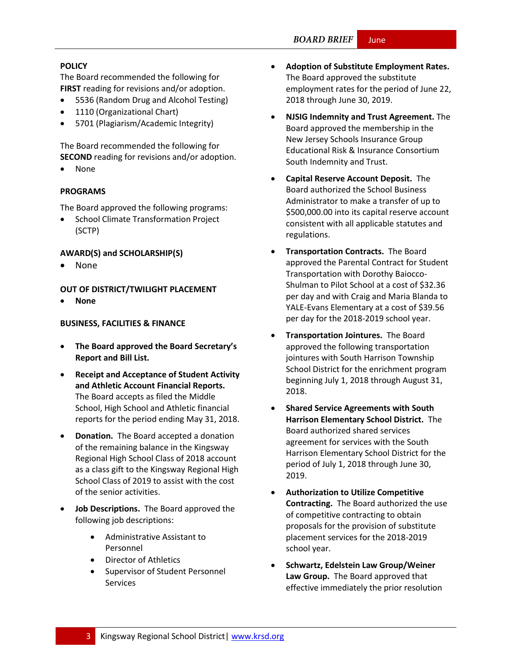#### **BOARD BRIEF** June

### **[POLICY](http://www.straussesmay.com/seportal/Public/DistrictPolicyTOC.aspx?id=f0cc945ef3894b8d9ad5f87d948ca425&PolicyID=)**

The Board recommended the following for **FIRST** reading for revisions and/or adoption.

- 5536 (Random Drug and Alcohol Testing)
- 1110 (Organizational Chart)
- 5701 (Plagiarism/Academic Integrity)

The Board recommended the following for **SECOND** reading for revisions and/or adoption.

None

### **PROGRAMS**

The Board approved the following programs:

 School Climate Transformation Project (SCTP)

# **AWARD(S) and SCHOLARSHIP(S)**

None

**OUT OF DISTRICT/TWILIGHT PLACEMENT**

**None**

### **BUSINESS, FACILITIES & FINANCE**

- **The Board approved the Board Secretary's Report and Bill List.**
- **Receipt and Acceptance of Student Activity and Athletic Account Financial Reports.** The Board accepts as filed the Middle School, High School and Athletic financial reports for the period ending May 31, 2018.
- **Donation.** The Board accepted a donation of the remaining balance in the Kingsway Regional High School Class of 2018 account as a class gift to the Kingsway Regional High School Class of 2019 to assist with the cost of the senior activities.
- **Job Descriptions.** The Board approved the following job descriptions:
	- Administrative Assistant to Personnel
	- Director of Athletics
	- Supervisor of Student Personnel Services
- **Adoption of Substitute Employment Rates.**  The Board approved the substitute employment rates for the period of June 22, 2018 through June 30, 2019.
- **NJSIG Indemnity and Trust Agreement.** The Board approved the membership in the New Jersey Schools Insurance Group Educational Risk & Insurance Consortium South Indemnity and Trust.
- **Capital Reserve Account Deposit.** The Board authorized the School Business Administrator to make a transfer of up to \$500,000.00 into its capital reserve account consistent with all applicable statutes and regulations.
- **Transportation Contracts.** The Board approved the Parental Contract for Student Transportation with Dorothy Baiocco-Shulman to Pilot School at a cost of \$32.36 per day and with Craig and Maria Blanda to YALE-Evans Elementary at a cost of \$39.56 per day for the 2018-2019 school year.
- **Transportation Jointures.** The Board approved the following transportation jointures with South Harrison Township School District for the enrichment program beginning July 1, 2018 through August 31, 2018.
- **Shared Service Agreements with South Harrison Elementary School District.** The Board authorized shared services agreement for services with the South Harrison Elementary School District for the period of July 1, 2018 through June 30, 2019.
- **Authorization to Utilize Competitive Contracting.** The Board authorized the use of competitive contracting to obtain proposals for the provision of substitute placement services for the 2018-2019 school year.
- **Schwartz, Edelstein Law Group/Weiner Law Group.** The Board approved that effective immediately the prior resolution